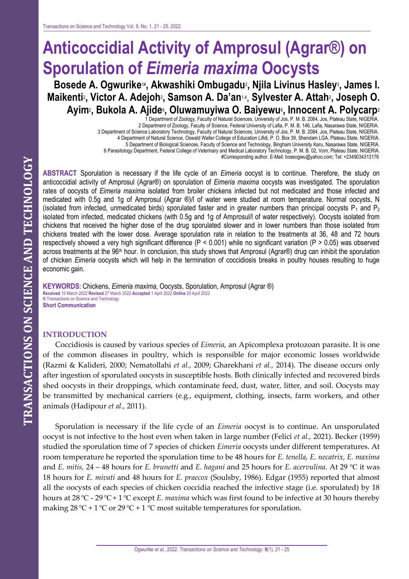# **Anticoccidial Activity of Amprosul (Agrar®) on Sporulation of** *Eimeria maxima* **Oocysts**

**Bosede A. Ogwurike**1# **, Akwashiki Ombugadu**<sup>2</sup> **, Njila Livinus Hasley**<sup>3</sup> **, James I. Maikenti**<sup>2</sup> **, Victor A. Adejoh**<sup>2</sup> **, Samson A. Da'an**1,4 , **Sylvester A. Attah**<sup>2</sup> **, Joseph O. Ayim**<sup>2</sup> **, Bukola A. Ajide**<sup>5</sup> **, Oluwamuyiwa O. Baiyewu**<sup>6</sup> **, Innocent A. Polycarp**<sup>2</sup>

1 Department of Zoology, Faculty of Natural Sciences, University of Jos, P. M. B. 2084, Jos, Plateau State, NIGERIA. 2 Department of Zoology, Faculty of Science, Federal University of Lafia, P. M. B. 146, Lafia, Nasarawa State, NIGERIA. 3 Department of Science Laboratory Technology, Faculty of Natural Sciences, University of Jos, P. M. B. 2084, Jos, Plateau State, NIGERIA. 4 Department of Natural Science, Oswald Waller College of Education Lifidi, P. O. Box 39, Shendam LGA, Plateau State, NIGERIA. 5 Department of Biological Sciences, Faculty of Science and Technology, Bingham University Karu, Nasarawa State, NIGERIA. 6 Parasitology Department, Federal College of Veterinary and Medical Laboratory Technology, P. M. B. 02, Vom, Plateau State, NIGERIA. #Corresponding author. E-Mail: boseogwu@yahoo.com; Tel: +2349034313176

**ABSTRACT** Sporulation is necessary if the life cycle of an *Eimeria* oocyst is to continue. Therefore, the study on anticoccidial activity of Amprosul (Agrar®) on sporulation of *Eimeria maxima* oocysts was investigated. The sporulation rates of oocysts of *Eimeria maxima* isolated from broiler chickens infected but not medicated and those infected and medicated with 0.5g and 1g of Amprosul (Agrar ®)/l of water were studied at room temperature. Normal oocysts, N (isolated from infected, unmedicated birds) sporulated faster and in greater numbers than principal oocysts  $P_1$  and  $P_2$ isolated from infected, medicated chickens (with 0.5g and 1g of Amprosul/l of water respectively). Oocysts isolated from chickens that received the higher dose of the drug sporulated slower and in lower numbers than those isolated from chickens treated with the lower dose. Average sporulation rate in relation to the treatments at 36, 48 and 72 hours respectively showed a very high significant difference (P < 0.001) while no significant variation (P > 0.05) was observed across treatments at the 96<sup>th</sup> hour. In conclusion, this study shows that Amprosul (Agrar®) drug can inhibit the sporulation of chicken *Eimeria* oocysts which will help in the termination of coccidiosis breaks in poultry houses resulting to huge economic gain.

**KEYWORDS**: Chickens, *Eimeria maxima*, Oocysts, Sporulation, Amprosul (Agrar ®) **Received** 15 March 2022 **Revised** 27 March 2022 **Accepted** 1 April 2022 **Online** 20 April 2022 **©** Transactions on Science and Technology **Short Communication**

## **INTRODUCTION**

Coccidiosis is caused by various species of *Eimeria*, an Apicomplexa protozoan parasite. It is one of the common diseases in poultry, which is responsible for major economic losses worldwide (Razmi & Kalideri, 2000; Nematollahi *et al.,* 2009; Gharekhani *et al.,* 2014). The disease occurs only after ingestion of sporulated oocysts in susceptible hosts. Both clinically infected and recovered birds shed oocysts in their droppings, which contaminate feed, dust, water, litter, and soil. Oocysts may be transmitted by mechanical carriers (e.g., equipment, clothing, insects, farm workers, and other animals (Hadipour *et al.,* 2011).

Sporulation is necessary if the life cycle of an *Eimeria* oocyst is to continue. An unsporulated oocyst is not infective to the host even when taken in large number (Felici *et al.,* 2021). Becker (1959) studied the sporulation time of 7 species of chicken *Eimeria* oocysts under different temperatures. At room temperature he reported the sporulation time to be 48 hours for *E. tenella, E. necatrix, E. maxima*  and *E. mitis,* 24 – 48 hours for *E. brunetti* and *E. hagani* and 25 hours for *E. acervulina*. At 29 ℃ it was 18 hours for *E. mivati* and 48 hours for *E. praecox* (Soulsby, 1986). Edgar (1955) reported that almost all the oocysts of each species of chicken coccidia reached the infective stage (i.e. sporulated) by 18 hours at 28℃ - 29℃+ 1℃ except *E. maxima* which was first found to be infective at 30 hours thereby making  $28 \,^{\circ}\text{C} + 1 \,^{\circ}\text{C}$  or  $29 \,^{\circ}\text{C} + 1 \,^{\circ}\text{C}$  most suitable temperatures for sporulation.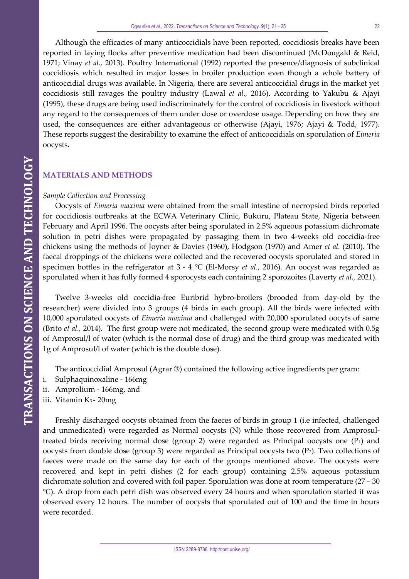Although the efficacies of many anticoccidials have been reported, coccidiosis breaks have been reported in laying flocks after preventive medication had been discontinued (McDougald & Reid, 1971; Vinay *et al.,* 2013). Poultry International (1992) reported the presence/diagnosis of subclinical coccidiosis which resulted in major losses in broiler production even though a whole battery of anticoccidial drugs was available. In Nigeria, there are several anticoccidial drugs in the market yet coccidiosis still ravages the poultry industry (Lawal *et al.,* 2016). According to Yakubu & Ajayi (1995), these drugs are being used indiscriminately for the control of coccidiosis in livestock without any regard to the consequences of them under dose or overdose usage. Depending on how they are used, the consequences are either advantageous or otherwise (Ajayi, 1976; Ajayi & Todd, 1977). These reports suggest the desirability to examine the effect of anticoccidials on sporulation of *Eimeria*  oocysts.

## **MATERIALS AND METHODS**

## *Sample Collection and Processing*

Oocysts of *Eimeria maxima* were obtained from the small intestine of necropsied birds reported for coccidiosis outbreaks at the ECWA Veterinary Clinic, Bukuru, Plateau State, Nigeria between February and April 1996. The oocysts after being sporulated in 2.5% aqueous potassium dichromate solution in petri dishes were propagated by passaging them in two 4-weeks old coccidia-free chickens using the methods of Joyner & Davies (1960), Hodgson (1970) and Amer *et al.* (2010). The faecal droppings of the chickens were collected and the recovered oocysts sporulated and stored in specimen bottles in the refrigerator at 3 - 4 ℃ (El-Morsy *et al.,* 2016). An oocyst was regarded as sporulated when it has fully formed 4 sporocysts each containing 2 sporozoites (Laverty *et al.,* 2021).

Twelve 3-weeks old coccidia-free Euribrid hybro-broilers (brooded from day-old by the researcher) were divided into 3 groups (4 birds in each group). All the birds were infected with 10,000 sporulated oocysts of *Eimeria maxima* and challenged with 20,000 sporulated oocyts of same (Brito *et al.,* 2014). The first group were not medicated, the second group were medicated with 0.5g of Amprosul/l of water (which is the normal dose of drug) and the third group was medicated with 1g of Amprosul/l of water (which is the double dose).

The anticoccidial Amprosul (Agrar ®) contained the following active ingredients per gram:

- Sulphaquinoxaline 166mg
- ii. Amprolium 166mg, and
- iii. Vitamin K3 20mg

Freshly discharged oocysts obtained from the faeces of birds in group 1 (i.e infected, challenged and unmedicated) were regarded as Normal oocysts (N) while those recovered from Amprosultreated birds receiving normal dose (group 2) were regarded as Principal oocysts one  $(P_1)$  and oocysts from double dose (group 3) were regarded as Principal oocysts two  $(P_2)$ . Two collections of faeces were made on the same day for each of the groups mentioned above. The oocysts were recovered and kept in petri dishes (2 for each group) containing 2.5% aqueous potassium dichromate solution and covered with foil paper. Sporulation was done at room temperature  $(27 - 30)$ ℃). A drop from each petri dish was observed every 24 hours and when sporulation started it was observed every 12 hours. The number of oocysts that sporulated out of 100 and the time in hours were recorded.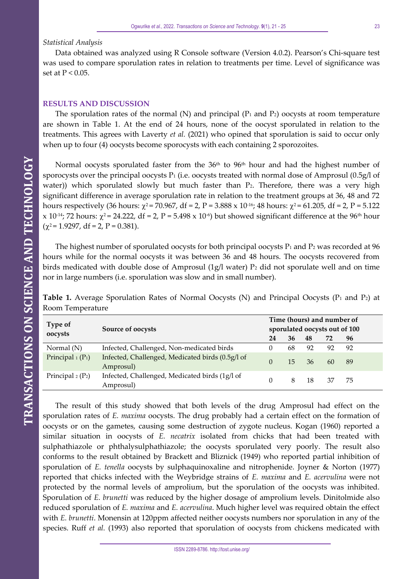#### *Statistical Analysis*

Data obtained was analyzed using R Console software (Version 4.0.2). Pearson's Chi-square test was used to compare sporulation rates in relation to treatments per time. Level of significance was set at  $P < 0.05$ .

#### **RESULTS AND DISCUSSION**

The sporulation rates of the normal (N) and principal ( $P_1$  and  $P_2$ ) oocysts at room temperature are shown in Table 1. At the end of 24 hours, none of the oocyst sporulated in relation to the treatments. This agrees with Laverty *et al.* (2021) who opined that sporulation is said to occur only when up to four (4) oocysts become sporocysts with each containing 2 sporozoites.

Normal oocysts sporulated faster from the  $36<sup>th</sup>$  to  $96<sup>th</sup>$  hour and had the highest number of sporocysts over the principal oocysts  $P_1$  (i.e. oocysts treated with normal dose of Amprosul (0.5g/l of water)) which sporulated slowly but much faster than P<sub>2</sub>. Therefore, there was a very high significant difference in average sporulation rate in relation to the treatment groups at 36, 48 and 72 hours respectively (36 hours:  $\chi^2$  = 70.967, df = 2, P = 3.888 x 10<sup>-16</sup>; 48 hours:  $\chi^2$  = 61.205, df = 2, P = 5.122 x 10<sup>-14</sup>; 72 hours:  $\chi^2$  = 24.222, df = 2, P = 5.498 x 10<sup>-6</sup>) but showed significant difference at the 96<sup>th</sup> hour  $(\chi^2 = 1.9297, df = 2, P = 0.381).$ 

The highest number of sporulated oocysts for both principal oocysts  $P_1$  and  $P_2$  was recorded at 96 hours while for the normal oocysts it was between 36 and 48 hours. The oocysts recovered from birds medicated with double dose of Amprosul  $(1g/l)$  water)  $P_2$  did not sporulate well and on time nor in large numbers (i.e. sporulation was slow and in small number).

|  |                  | <b>Table 1.</b> Average Sporulation Rates of Normal Oocysts (N) and Principal Oocysts (P <sub>1</sub> and P <sub>2</sub> ) at |  |  |  |  |  |  |
|--|------------------|-------------------------------------------------------------------------------------------------------------------------------|--|--|--|--|--|--|
|  | Room Temperature |                                                                                                                               |  |  |  |  |  |  |

| Type of                          | Source of oocysts                                             | Time (hours) and number of<br>sporulated oocysts out of 100 |    |    |    |    |  |  |
|----------------------------------|---------------------------------------------------------------|-------------------------------------------------------------|----|----|----|----|--|--|
| oocysts                          |                                                               | 24                                                          | 36 | 48 | 72 | 96 |  |  |
| Normal $(N)$                     | Infected, Challenged, Non-medicated birds                     | 0                                                           | 68 | 92 | 92 | 92 |  |  |
| Principal $_1(P_1)$              | Infected, Challenged, Medicated birds (0.5g/l of<br>Amprosul) | $\Omega$                                                    | 15 | 36 | 60 | 89 |  |  |
| Principal $_2$ (P <sub>2</sub> ) | Infected, Challenged, Medicated birds (1g/l of<br>Amprosul)   | $\Omega$                                                    | 8  | 18 | 37 | 75 |  |  |

The result of this study showed that both levels of the drug Amprosul had effect on the sporulation rates of *E. maxima* oocysts. The drug probably had a certain effect on the formation of oocysts or on the gametes, causing some destruction of zygote nucleus. Kogan (1960) reported a similar situation in oocysts of *E. necatrix* isolated from chicks that had been treated with sulphathiazole or phthalysulphathiazole; the oocysts sporulated very poorly. The result also conforms to the result obtained by Brackett and Bliznick (1949) who reported partial inhibition of sporulation of *E. tenella* oocysts by sulphaquinoxaline and nitrophenide. Joyner & Norton (1977) reported that chicks infected with the Weybridge strains of *E. maxima* and *E. acervulina* were not protected by the normal levels of amprolium, but the sporulation of the oocysts was inhibited. Sporulation of *E. brunetti* was reduced by the higher dosage of amprolium levels. Dinitolmide also reduced sporulation of *E. maxima* and *E. acervulina*. Much higher level was required obtain the effect with *E. brunetti*. Monensin at 120ppm affected neither oocysts numbers nor sporulation in any of the species. Ruff *et al.* (1993) also reported that sporulation of oocysts from chickens medicated with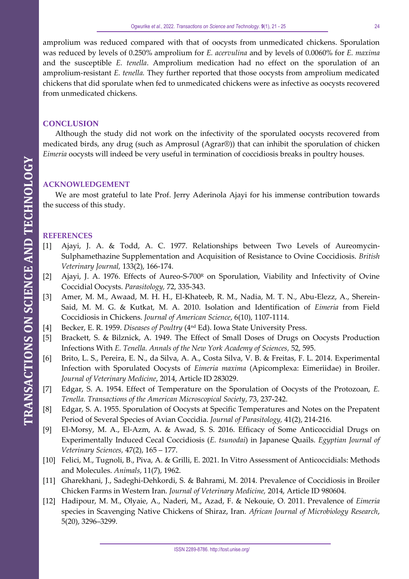amprolium was reduced compared with that of oocysts from unmedicated chickens. Sporulation was reduced by levels of 0.250% amprolium for *E. acervulina* and by levels of 0.0060% for *E. maxima* and the susceptible *E. tenella*. Amprolium medication had no effect on the sporulation of an amprolium-resistant *E. tenella.* They further reported that those oocysts from amprolium medicated chickens that did sporulate when fed to unmedicated chickens were as infective as oocysts recovered from unmedicated chickens.

#### **CONCLUSION**

Although the study did not work on the infectivity of the sporulated oocysts recovered from medicated birds, any drug (such as Amprosul (Agrar®)) that can inhibit the sporulation of chicken *Eimeria* oocysts will indeed be very useful in termination of coccidiosis breaks in poultry houses.

### **ACKNOWLEDGEMENT**

We are most grateful to late Prof. Jerry Aderinola Ajayi for his immense contribution towards the success of this study.

#### **REFERENCES**

- [1] Ajayi, J. A. & Todd, A. C. 1977. Relationships between Two Levels of Aureomycin-Sulphamethazine Supplementation and Acquisition of Resistance to Ovine Coccidiosis. *British Veterinary Journal,* 133(2), 166-174.
- [2] Ajayi, J. A. 1976. Effects of Aureo-S-700<sup>R</sup> on Sporulation, Viability and Infectivity of Ovine Coccidial Oocysts. *Parasitology,* 72, 335-343.
- [3] Amer, M. M., Awaad, M. H. H., El-Khateeb, R. M., Nadia, M. T. N., Abu-Elezz, A., Sherein-Said, M. M. G. & Kutkat, M. A. 2010. Isolation and Identification of *Eimeria* from Field Coccidiosis in Chickens. *Journal of American Science*, 6(10), 1107-1114.
- [4] Becker, E. R. 1959. *Diseases of Poultry* (4nd Ed). Iowa State University Press.
- [5] Brackett, S. & Bilznick, A. 1949. The Effect of Small Doses of Drugs on Oocysts Production Infections With *E. Tenella. Annals of the New York Academy of Sciences,* 52, 595.
- [6] Brito, L. S., Pereira, E. N., da Silva, A. A., Costa Silva, V. B. & Freitas, F. L. 2014. Experimental Infection with Sporulated Oocysts of *Eimeria maxima* (Apicomplexa: Eimeriidae) in Broiler. *Journal of Veterinary Medicine*, 2014, Article ID 283029.
- [7] Edgar, S. A. 1954. Effect of Temperature on the Sporulation of Oocysts of the Protozoan, *E. Tenella. Transactions of the American Microscopical Society,* 73, 237-242.
- [8] Edgar, S. A. 1955. Sporulation of Oocysts at Specific Temperatures and Notes on the Prepatent Period of Several Species of Avian Coccidia. *Journal of Parasitology,* 41(2), 214-216.
- [9] El-Morsy, M. A., El-Azm, A. & Awad, S. S. 2016. Efficacy of Some Anticoccidial Drugs on Experimentally Induced Cecal Coccidiosis (*E. tsunodai*) in Japanese Quails. *Egyptian Journal of Veterinary Sciences,* 47(2), 165 – 177.
- [10] Felici, M., Tugnoli, B., Piva, A. & Grilli, E. 2021. In Vitro Assessment of Anticoccidials: Methods and Molecules. *Animals*, 11(7), 1962.
- [11] Gharekhani, J., Sadeghi-Dehkordi, S. & Bahrami, M. 2014. Prevalence of Coccidiosis in Broiler Chicken Farms in Western Iran. *Journal of Veterinary Medicine,* 2014, Article ID 980604.
- [12] Hadipour, M. M., Olyaie, A., Naderi, M., Azad, F. & Nekouie, O. 2011. Prevalence of *Eimeria* species in Scavenging Native Chickens of Shiraz, Iran. *African Journal of Microbiology Research*, 5(20), 3296–3299.